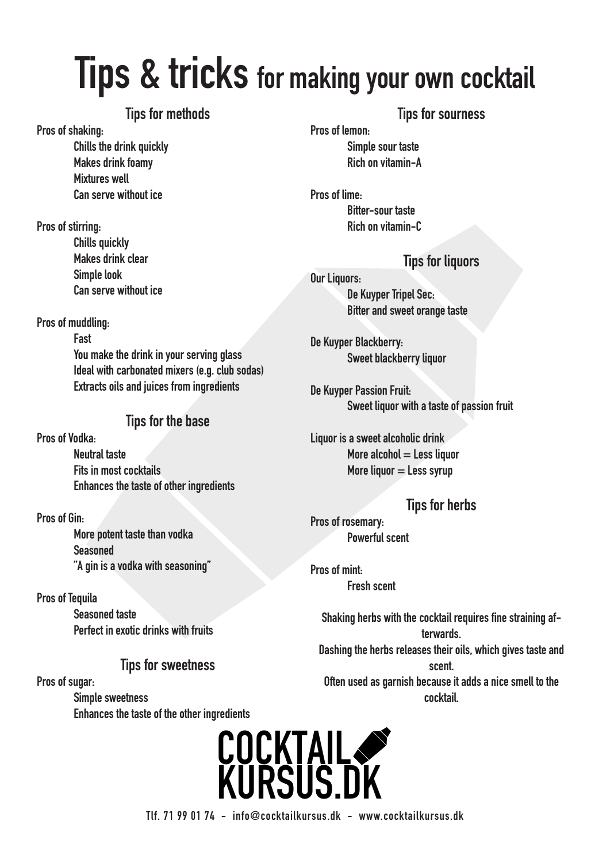## **Tips & tricks for making your own cocktail**

### **Tips for methods**

**Pros of shaking:**

**Chills the drink quickly Makes drink foamy Mixtures well Can serve without ice**

**Pros of stirring: Chills quickly Makes drink clear Simple look Can serve without ice**

**Pros of muddling:**

**Fast You make the drink in your serving glass Ideal with carbonated mixers (e.g. club sodas) Extracts oils and juices from ingredients**

## **Tips for the base**

**Pros of Vodka:**

**Neutral taste Fits in most cocktails Enhances the taste of other ingredients**

**Pros of Gin:**

**More potent taste than vodka Seasoned "A gin is a vodka with seasoning"**

**Pros of Tequila Seasoned taste Perfect in exotic drinks with fruits**

## **Tips for sweetness**

**Pros of sugar: Simple sweetness Enhances the taste of the other ingredients** 

## **Tips for sourness**

**Pros of lemon:**

**Simple sour taste Rich on vitamin-A**

**Pros of lime: Bitter-sour taste Rich on vitamin-C**

## **Tips for liquors**

**Our Liquors: De Kuyper Tripel Sec: Bitter and sweet orange taste**

**De Kuyper Blackberry: Sweet blackberry liquor**

**De Kuyper Passion Fruit: Sweet liquor with a taste of passion fruit**

**Liquor is a sweet alcoholic drink More alcohol = Less liquor More liquor = Less syrup**

**Tips for herbs Pros of rosemary: Powerful scent**

**Pros of mint: Fresh scent**

> **Shaking herbs with the cocktail requires fine straining afterwards. Dashing the herbs releases their oils, which gives taste and scent. Often used as garnish because it adds a nice smell to the cocktail.**

## **COCKTAIL KURSUS.DK**

**Tlf. 71 99 01 74 - info@cocktailkursus.dk - www.cocktailkursus.dk**